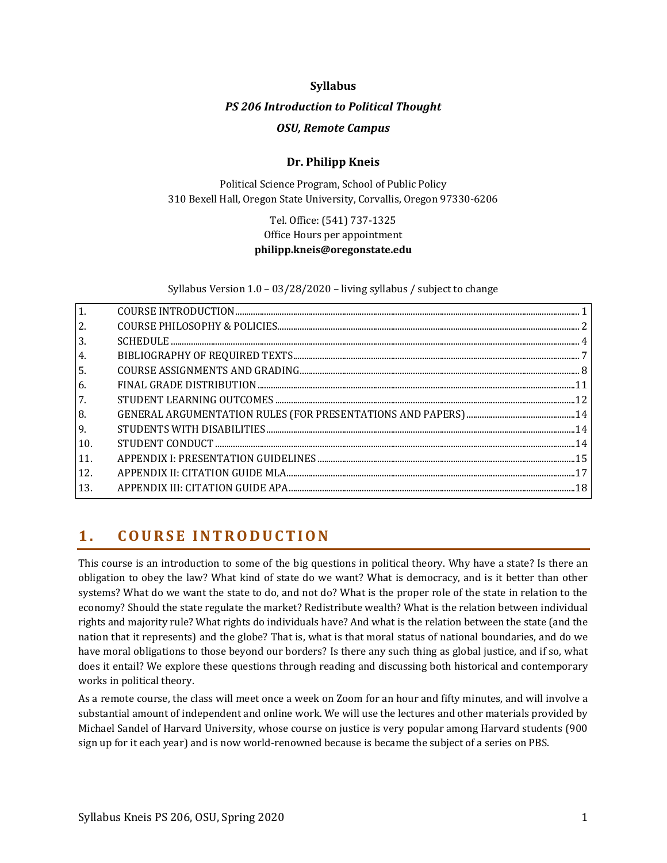#### **Syllabus**

#### *PS 206 Introduction to Political Thought*

#### *OSU, Remote Campus*

## **Dr. Philipp Kneis**

Political Science Program, School of Public Policy 310 Bexell Hall, Oregon State University, Corvallis, Oregon 97330-6206

## Tel. Office: (541) 737-1325 Office Hours per appointment **philipp.kneis@oregonstate.edu**

Syllabus Version 1.0 – 03/28/2020 – living syllabus / subject to change

| 1.               |  |
|------------------|--|
| 2.               |  |
| 3.               |  |
| 4.               |  |
| $\overline{5}$ . |  |
| 6.               |  |
| 7.               |  |
| 8.               |  |
| 9.               |  |
| 10.              |  |
| 11.              |  |
| 12.              |  |
| <sup>13.</sup>   |  |
|                  |  |

## <span id="page-0-0"></span>**1 . C O U R S E I N T R O D U C T I O N**

This course is an introduction to some of the big questions in political theory. Why have a state? Is there an obligation to obey the law? What kind of state do we want? What is democracy, and is it better than other systems? What do we want the state to do, and not do? What is the proper role of the state in relation to the economy? Should the state regulate the market? Redistribute wealth? What is the relation between individual rights and majority rule? What rights do individuals have? And what is the relation between the state (and the nation that it represents) and the globe? That is, what is that moral status of national boundaries, and do we have moral obligations to those beyond our borders? Is there any such thing as global justice, and if so, what does it entail? We explore these questions through reading and discussing both historical and contemporary works in political theory.

As a remote course, the class will meet once a week on Zoom for an hour and fifty minutes, and will involve a substantial amount of independent and online work. We will use the lectures and other materials provided by Michael Sandel of Harvard University, whose course on justice is very popular among Harvard students (900 sign up for it each year) and is now world-renowned because is became the subject of a series on PBS.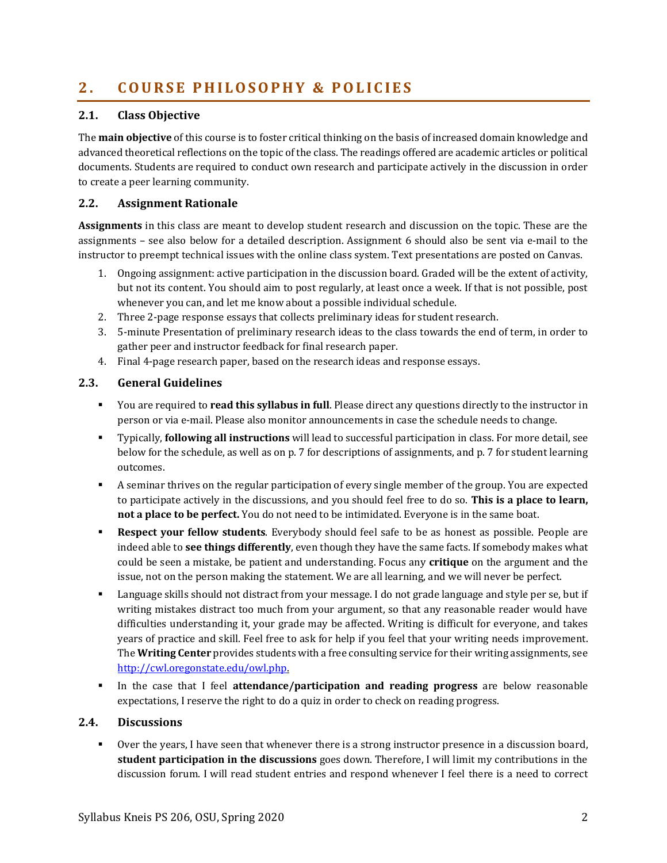# <span id="page-1-0"></span>**2 . C O U R S E P H I L O S O P H Y & P O L I C I E S**

### **2.1. Class Objective**

The **main objective** of this course is to foster critical thinking on the basis of increased domain knowledge and advanced theoretical reflections on the topic of the class. The readings offered are academic articles or political documents. Students are required to conduct own research and participate actively in the discussion in order to create a peer learning community.

### **2.2. Assignment Rationale**

**Assignments** in this class are meant to develop student research and discussion on the topic. These are the assignments – see also below for a detailed description. Assignment 6 should also be sent via e-mail to the instructor to preempt technical issues with the online class system. Text presentations are posted on Canvas.

- 1. Ongoing assignment: active participation in the discussion board. Graded will be the extent of activity, but not its content. You should aim to post regularly, at least once a week. If that is not possible, post whenever you can, and let me know about a possible individual schedule.
- 2. Three 2-page response essays that collects preliminary ideas for student research.
- 3. 5-minute Presentation of preliminary research ideas to the class towards the end of term, in order to gather peer and instructor feedback for final research paper.
- 4. Final 4-page research paper, based on the research ideas and response essays.

## **2.3. General Guidelines**

- You are required to **read this syllabus in full**. Please direct any questions directly to the instructor in person or via e-mail. Please also monitor announcements in case the schedule needs to change.
- Typically, **following all instructions** will lead to successful participation in class. For more detail, see below for the schedule, as well as on p[. 7](#page-6-1) for descriptions of assignments, and p[. 7](#page-6-1) for student learning outcomes.
- A seminar thrives on the regular participation of every single member of the group. You are expected to participate actively in the discussions, and you should feel free to do so. **This is a place to learn, not a place to be perfect.** You do not need to be intimidated. Everyone is in the same boat.
- **Respect your fellow students**. Everybody should feel safe to be as honest as possible. People are indeed able to **see things differently**, even though they have the same facts. If somebody makes what could be seen a mistake, be patient and understanding. Focus any **critique** on the argument and the issue, not on the person making the statement. We are all learning, and we will never be perfect.
- Language skills should not distract from your message. I do not grade language and style per se, but if writing mistakes distract too much from your argument, so that any reasonable reader would have difficulties understanding it, your grade may be affected. Writing is difficult for everyone, and takes years of practice and skill. Feel free to ask for help if you feel that your writing needs improvement. The **Writing Center** provides students with a free consulting service for their writing assignments, see [http://cwl.oregonstate.edu/owl.php.](http://cwl.oregonstate.edu/owl.php)
- In the case that I feel **attendance/participation and reading progress** are below reasonable expectations, I reserve the right to do a quiz in order to check on reading progress.

#### **2.4. Discussions**

Over the years, I have seen that whenever there is a strong instructor presence in a discussion board, **student participation in the discussions** goes down. Therefore, I will limit my contributions in the discussion forum. I will read student entries and respond whenever I feel there is a need to correct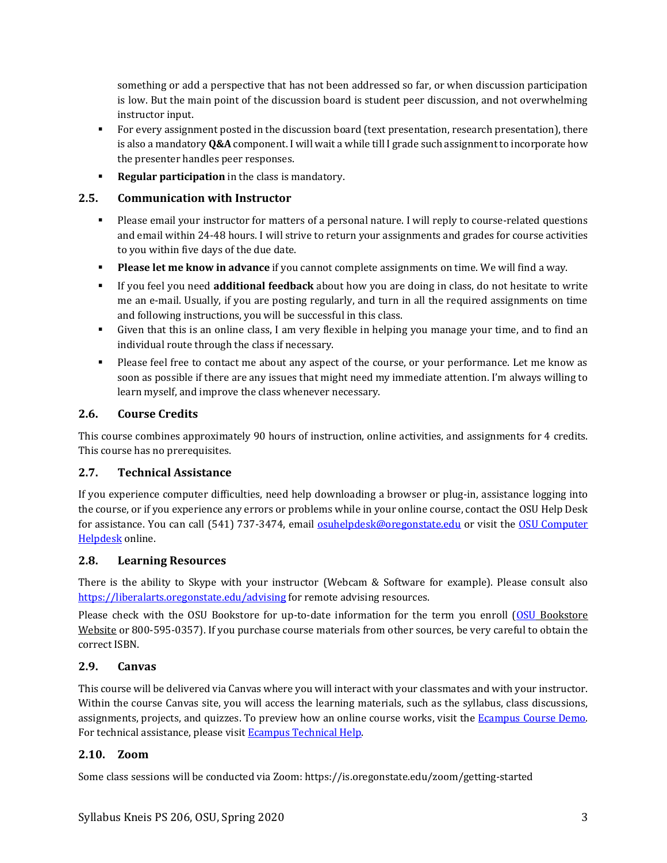something or add a perspective that has not been addressed so far, or when discussion participation is low. But the main point of the discussion board is student peer discussion, and not overwhelming instructor input.

- For every assignment posted in the discussion board (text presentation, research presentation), there is also a mandatory **Q&A** component. I will wait a while till I grade such assignment to incorporate how the presenter handles peer responses.
- **Regular participation** in the class is mandatory.

### **2.5. Communication with Instructor**

- Please email your instructor for matters of a personal nature. I will reply to course-related questions and email within 24-48 hours. I will strive to return your assignments and grades for course activities to you within five days of the due date.
- **Please let me know in advance** if you cannot complete assignments on time. We will find a way.
- If you feel you need **additional feedback** about how you are doing in class, do not hesitate to write me an e-mail. Usually, if you are posting regularly, and turn in all the required assignments on time and following instructions, you will be successful in this class.
- Given that this is an online class, I am very flexible in helping you manage your time, and to find an individual route through the class if necessary.
- Please feel free to contact me about any aspect of the course, or your performance. Let me know as soon as possible if there are any issues that might need my immediate attention. I'm always willing to learn myself, and improve the class whenever necessary.

### **2.6. Course Credits**

This course combines approximately 90 hours of instruction, online activities, and assignments for 4 credits. This course has no prerequisites.

#### **2.7. Technical Assistance**

If you experience computer difficulties, need help downloading a browser or plug-in, assistance logging into the course, or if you experience any errors or problems while in your online course, contact the OSU Help Desk for assistance. You can call (541) 737-3474, email **osuhelpdesk@oregonstate.edu** or visit the **OSU Computer** [Helpdesk](http://oregonstate.edu/is/tss/och/) online.

#### **2.8. Learning Resources**

There is the ability to Skype with your instructor (Webcam & Software for example). Please consult also <https://liberalarts.oregonstate.edu/advising> for remote advising resources.

Please check with the OSU Bookstore for up-to-date information for the term you enroll [\(OSU](http://osubeaverstore.com/Academics) Bookstore Website or 800-595-0357). If you purchase course materials from other sources, be very careful to obtain the correct ISBN.

#### **2.9. Canvas**

This course will be delivered via Canvas where you will interact with your classmates and with your instructor. Within the course Canvas site, you will access the learning materials, such as the syllabus, class discussions, assignments, projects, and quizzes. To preview how an online course works, visit the [Ecampus Course Demo.](http://ecampus.oregonstate.edu/coursedemo/) For technical assistance, please visi[t Ecampus Technical Help.](http://ecampus.oregonstate.edu/services/technical-help.htm)

## **2.10. Zoom**

Some class sessions will be conducted via Zoom: https://is.oregonstate.edu/zoom/getting-started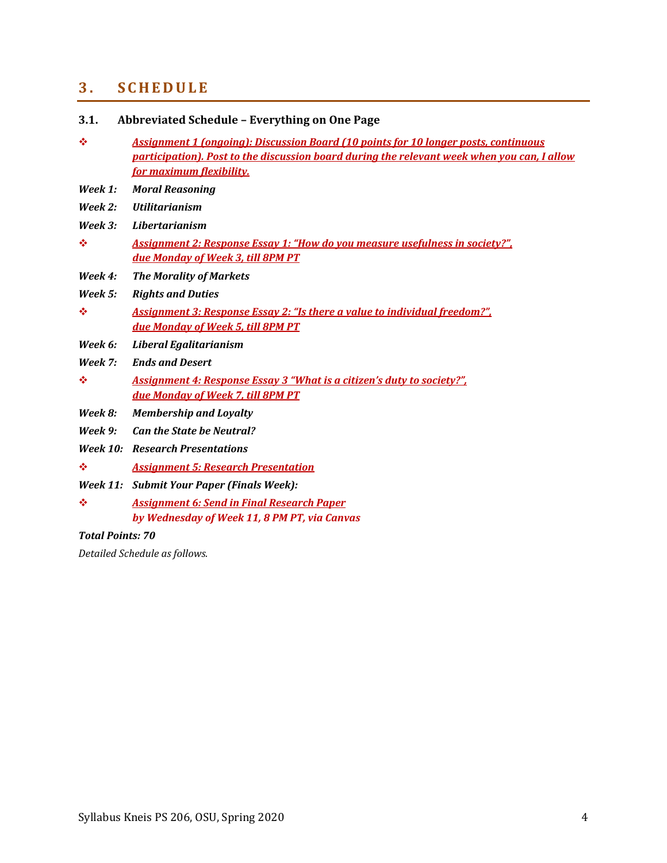# <span id="page-3-0"></span>**3 . S C H E D U L E**

| 3.1.               | Abbreviated Schedule - Everything on One Page                                                                                                                                                                         |
|--------------------|-----------------------------------------------------------------------------------------------------------------------------------------------------------------------------------------------------------------------|
| ❖                  | <b>Assignment 1 (ongoing): Discussion Board (10 points for 10 longer posts, continuous</b><br>participation). Post to the discussion board during the relevant week when you can, I allow<br>for maximum flexibility. |
| Week 1:            | <b>Moral Reasoning</b>                                                                                                                                                                                                |
| Week 2:            | <b>Utilitarianism</b>                                                                                                                                                                                                 |
| $\textit{Week}$ 3: | Libertarianism                                                                                                                                                                                                        |
| ❖                  | <b>Assignment 2: Response Essay 1: "How do you measure usefulness in society?"</b><br>due Monday of Week 3, till 8PM PT                                                                                               |
| Week 4:            | <b>The Morality of Markets</b>                                                                                                                                                                                        |
| Week 5:            | <b>Rights and Duties</b>                                                                                                                                                                                              |
| ❖                  | <b>Assignment 3: Response Essay 2: "Is there a value to individual freedom?"</b><br>due Monday of Week 5, till 8PM PT                                                                                                 |
| Week 6:            | Liberal Egalitarianism                                                                                                                                                                                                |
| Week 7:            | <b>Ends and Desert</b>                                                                                                                                                                                                |
| ❖                  | Assignment 4: Response Essay 3 "What is a citizen's duty to society?".<br>due Monday of Week 7, till 8PM PT                                                                                                           |
| Week 8:            | <b>Membership and Loyalty</b>                                                                                                                                                                                         |
| Week 9:            | <b>Can the State be Neutral?</b>                                                                                                                                                                                      |
|                    | <b>Week 10: Research Presentations</b>                                                                                                                                                                                |
| ❖                  | <b>Assignment 5: Research Presentation</b>                                                                                                                                                                            |
|                    | Week 11: Submit Your Paper (Finals Week):                                                                                                                                                                             |
| ❖                  | <b>Assignment 6: Send in Final Research Paper</b><br>by Wednesday of Week 11, 8 PM PT, via Canvas                                                                                                                     |

## *Total Points: 70*

*Detailed Schedule as follows.*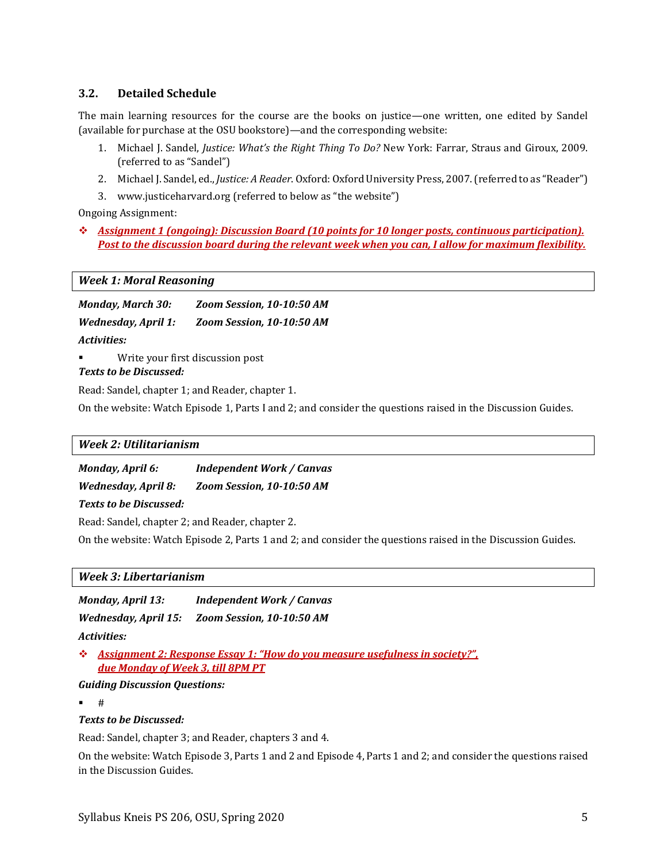## **3.2. Detailed Schedule**

The main learning resources for the course are the books on justice—one written, one edited by Sandel (available for purchase at the OSU bookstore)—and the corresponding website:

- 1. Michael J. Sandel, *Justice: What's the Right Thing To Do?* New York: Farrar, Straus and Giroux, 2009. (referred to as "Sandel")
- 2. Michael J. Sandel, ed., *Justice: A Reader*. Oxford: Oxford University Press, 2007. (referred to as "Reader")
- 3. www.justiceharvard.org (referred to below as "the website")

Ongoing Assignment:

❖ *Assignment 1 (ongoing): Discussion Board (10 points for 10 longer posts, continuous participation). Post to the discussion board during the relevant week when you can, I allow for maximum flexibility.*

#### *Week 1: Moral Reasoning*

*Monday, March 30: Zoom Session, 10-10:50 AM Wednesday, April 1: Zoom Session, 10-10:50 AM Activities:*

Write your first discussion post

### *Texts to be Discussed:*

Read: Sandel, chapter 1; and Reader, chapter 1.

On the website: Watch Episode 1, Parts I and 2; and consider the questions raised in the Discussion Guides.

#### *Week 2: Utilitarianism*

| Monday, April 6:           | <b>Independent Work / Canvas</b> |
|----------------------------|----------------------------------|
| <b>Wednesday, April 8:</b> | Zoom Session, 10-10:50 AM        |
|                            |                                  |

*Texts to be Discussed:*

Read: Sandel, chapter 2; and Reader, chapter 2.

On the website: Watch Episode 2, Parts 1 and 2; and consider the questions raised in the Discussion Guides.

#### *Week 3: Libertarianism*

*Monday, April 13: Independent Work / Canvas Wednesday, April 15: Zoom Session, 10-10:50 AM* 

*Activities:*

❖ *Assignment 2: Response Essay 1: "How do you measure usefulness in society?", due Monday of Week 3, till 8PM PT*

*Guiding Discussion Questions:*

▪ #

#### *Texts to be Discussed:*

Read: Sandel, chapter 3; and Reader, chapters 3 and 4.

On the website: Watch Episode 3, Parts 1 and 2 and Episode 4, Parts 1 and 2; and consider the questions raised in the Discussion Guides.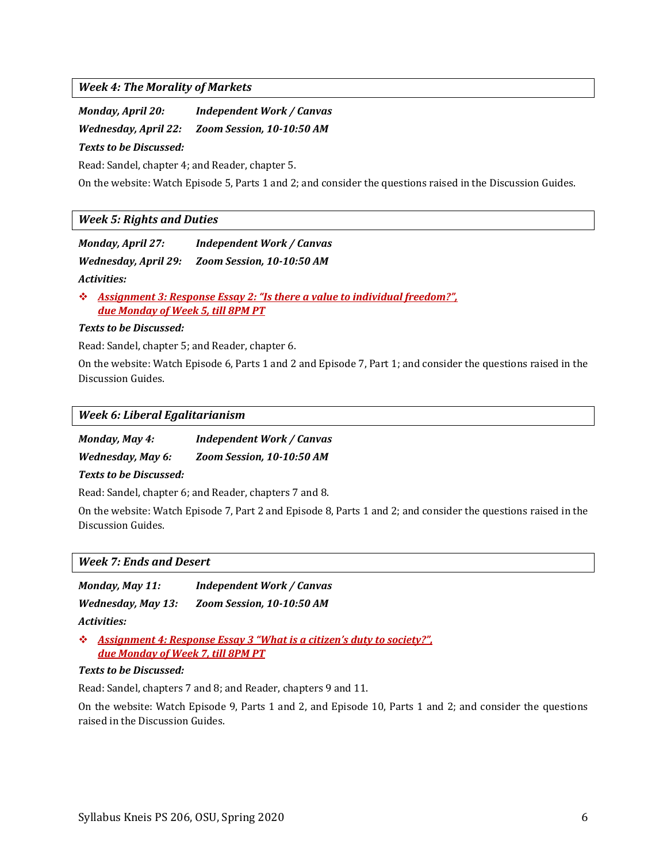#### *Week 4: The Morality of Markets*

| <b>Monday, April 20:</b> | <b>Independent Work / Canvas</b> |
|--------------------------|----------------------------------|
| Wednesday, April 22:     | Zoom Session. 10-10:50 AM        |
| Texts to be Discussed:   |                                  |

Read: Sandel, chapter 4; and Reader, chapter 5.

On the website: Watch Episode 5, Parts 1 and 2; and consider the questions raised in the Discussion Guides.

#### *Week 5: Rights and Duties*

| Monday, April 27: | <b>Independent Work / Canvas</b>               |
|-------------------|------------------------------------------------|
|                   | Wednesday, April 29: Zoom Session, 10-10:50 AM |
| Activities:       |                                                |

❖ *Assignment 3: Response Essay 2: "Is there a value to individual freedom?", due Monday of Week 5, till 8PM PT*

#### *Texts to be Discussed:*

Read: Sandel, chapter 5; and Reader, chapter 6.

On the website: Watch Episode 6, Parts 1 and 2 and Episode 7, Part 1; and consider the questions raised in the Discussion Guides.

#### *Week 6: Liberal Egalitarianism*

| Monday, May 4:    | <b>Independent Work / Canvas</b> |
|-------------------|----------------------------------|
| Wednesday, May 6: | Zoom Session, 10-10:50 AM        |

#### *Texts to be Discussed:*

Read: Sandel, chapter 6; and Reader, chapters 7 and 8.

On the website: Watch Episode 7, Part 2 and Episode 8, Parts 1 and 2; and consider the questions raised in the Discussion Guides.

|  |  |  |  | <b>Week 7: Ends and Desert</b> |
|--|--|--|--|--------------------------------|
|--|--|--|--|--------------------------------|

*Monday, May 11: Independent Work / Canvas Wednesday, May 13: Zoom Session, 10-10:50 AM* 

*Activities:*

❖ *Assignment 4: Response Essay 3 "What is a citizen's duty to society?", due Monday of Week 7, till 8PM PT*

#### *Texts to be Discussed:*

Read: Sandel, chapters 7 and 8; and Reader, chapters 9 and 11.

On the website: Watch Episode 9, Parts 1 and 2, and Episode 10, Parts 1 and 2; and consider the questions raised in the Discussion Guides.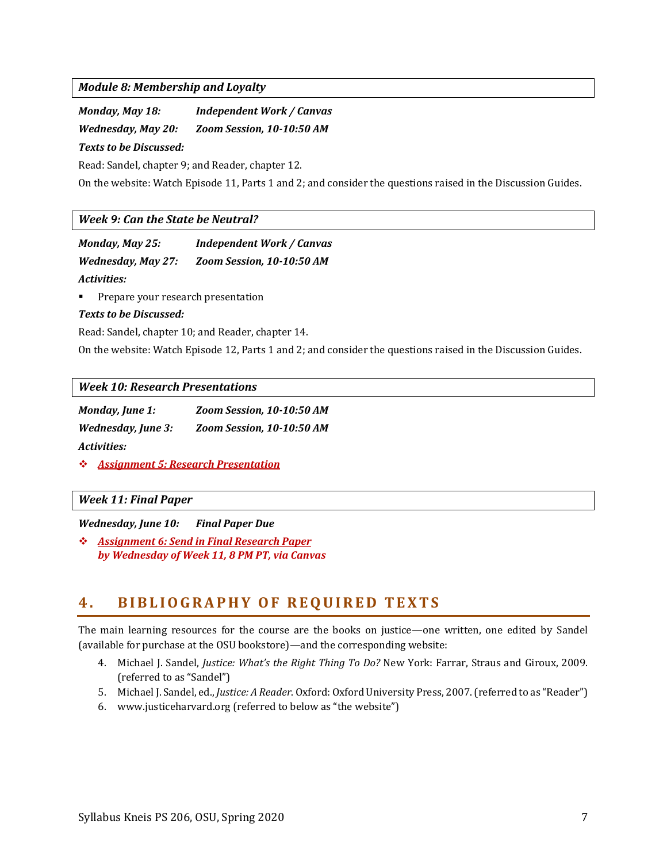*Module 8: Membership and Loyalty*

| Monday, May 18:        | Independent Work / Canvas |
|------------------------|---------------------------|
| Wednesday, May 20:     | Zoom Session, 10-10:50 AM |
| Texts to be Discussed: |                           |

Read: Sandel, chapter 9; and Reader, chapter 12.

On the website: Watch Episode 11, Parts 1 and 2; and consider the questions raised in the Discussion Guides.

#### *Week 9: Can the State be Neutral?*

| Monday, May 25:           | <b>Independent Work / Canvas</b> |
|---------------------------|----------------------------------|
| <b>Wednesday, May 27:</b> | Zoom Session, 10-10:50 AM        |
| Activities:               |                                  |

**•** Prepare your research presentation

#### *Texts to be Discussed:*

Read: Sandel, chapter 10; and Reader, chapter 14.

On the website: Watch Episode 12, Parts 1 and 2; and consider the questions raised in the Discussion Guides.

*Week 10: Research Presentations*

| <b>Monday, June 1:</b>    | Zoom Session. 10-10:50 AM |
|---------------------------|---------------------------|
| <i>Wednesday, June 3:</i> | Zoom Session, 10-10:50 AM |
| Activities:               |                           |

❖ *Assignment 5: Research Presentation*

#### *Week 11: Final Paper*

*Wednesday, June 10: Final Paper Due*

❖ *Assignment 6: Send in Final Research Paper by Wednesday of Week 11, 8 PM PT, via Canvas*

## <span id="page-6-0"></span>**4 . B I B L I O G R A P H Y O F R E Q U I R E D T E X T S**

<span id="page-6-1"></span>The main learning resources for the course are the books on justice—one written, one edited by Sandel (available for purchase at the OSU bookstore)—and the corresponding website:

- 4. Michael J. Sandel, *Justice: What's the Right Thing To Do?* New York: Farrar, Straus and Giroux, 2009. (referred to as "Sandel")
- 5. Michael J. Sandel, ed., *Justice: A Reader*. Oxford: Oxford University Press, 2007. (referred to as "Reader")
- 6. www.justiceharvard.org (referred to below as "the website")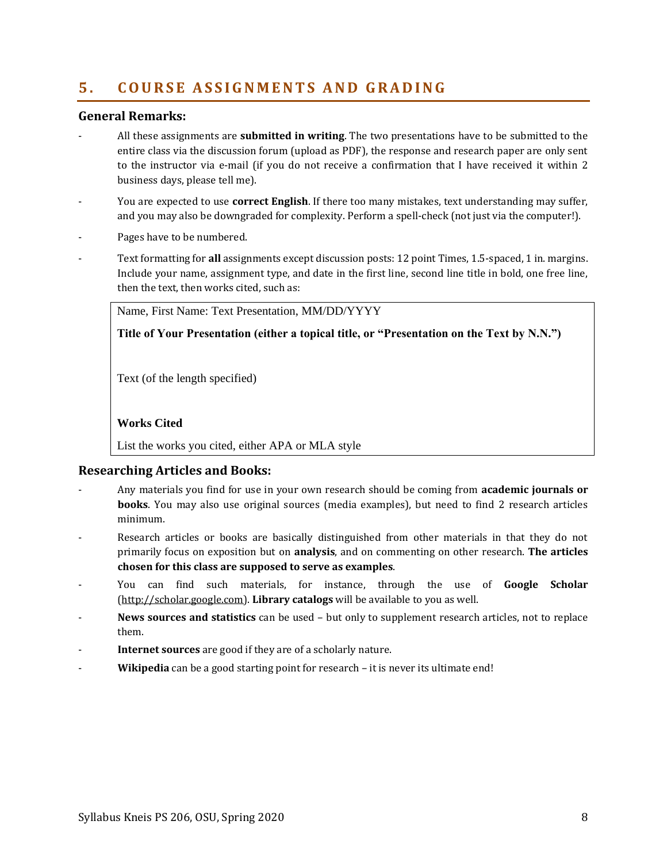# <span id="page-7-0"></span>**5 . C O U R S E A S S I G N M E N T S A N D G R A D I N G**

### **General Remarks:**

- All these assignments are **submitted in writing**. The two presentations have to be submitted to the entire class via the discussion forum (upload as PDF), the response and research paper are only sent to the instructor via e-mail (if you do not receive a confirmation that I have received it within 2 business days, please tell me).
- You are expected to use **correct English**. If there too many mistakes, text understanding may suffer, and you may also be downgraded for complexity. Perform a spell-check (not just via the computer!).
- Pages have to be numbered.
- Text formatting for **all** assignments except discussion posts: 12 point Times, 1.5-spaced, 1 in. margins. Include your name, assignment type, and date in the first line, second line title in bold, one free line, then the text, then works cited, such as:

Name, First Name: Text Presentation, MM/DD/YYYY

**Title of Your Presentation (either a topical title, or "Presentation on the Text by N.N.")**

Text (of the length specified)

#### **Works Cited**

List the works you cited, either APA or MLA style

#### **Researching Articles and Books:**

- Any materials you find for use in your own research should be coming from **academic journals or books**. You may also use original sources (media examples), but need to find 2 research articles minimum.
- Research articles or books are basically distinguished from other materials in that they do not primarily focus on exposition but on **analysis**, and on commenting on other research. **The articles chosen for this class are supposed to serve as examples**.
- You can find such materials, for instance, through the use of **Google Scholar** [\(http://scholar.google.com\)](http://scholar.google.com/). **Library catalogs** will be available to you as well.
- **News sources and statistics** can be used but only to supplement research articles, not to replace them.
- **Internet sources** are good if they are of a scholarly nature.
- Wikipedia can be a good starting point for research it is never its ultimate end!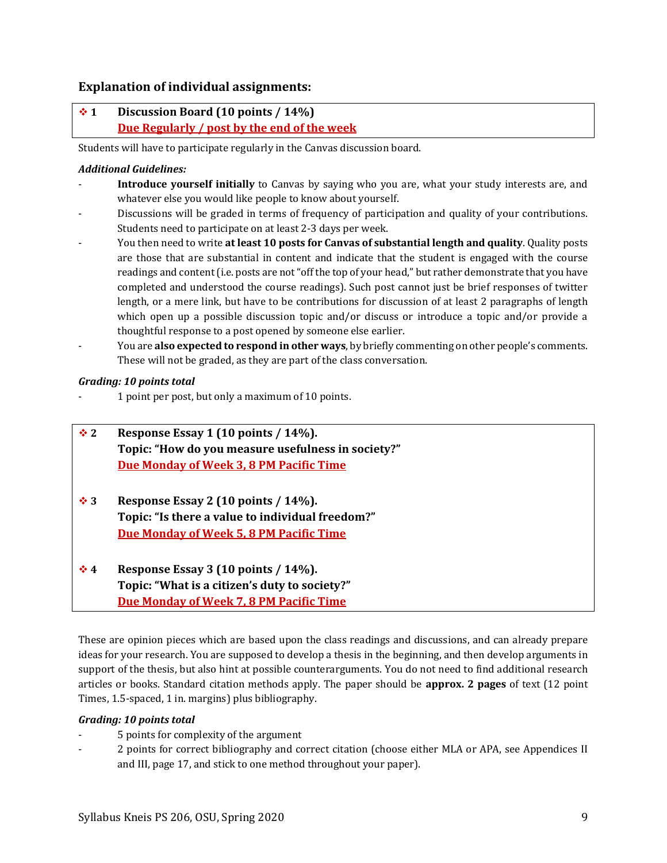## **Explanation of individual assignments:**

## ❖ **1 Discussion Board (10 points / 14%) Due Regularly / post by the end of the week**

Students will have to participate regularly in the Canvas discussion board.

#### *Additional Guidelines:*

- Introduce yourself initially to Canvas by saying who you are, what your study interests are, and whatever else you would like people to know about yourself.
- Discussions will be graded in terms of frequency of participation and quality of your contributions. Students need to participate on at least 2-3 days per week.
- You then need to write **at least 10 posts for Canvas of substantial length and quality**. Quality posts are those that are substantial in content and indicate that the student is engaged with the course readings and content (i.e. posts are not "off the top of your head," but rather demonstrate that you have completed and understood the course readings). Such post cannot just be brief responses of twitter length, or a mere link, but have to be contributions for discussion of at least 2 paragraphs of length which open up a possible discussion topic and/or discuss or introduce a topic and/or provide a thoughtful response to a post opened by someone else earlier.
- You are **also expected to respond in other ways**, by briefly commenting on other people's comments. These will not be graded, as they are part of the class conversation.

#### *Grading: 10 points total*

- 1 point per post, but only a maximum of 10 points.

| $\div$ 2  | Response Essay 1 (10 points / 14%).                |
|-----------|----------------------------------------------------|
|           | Topic: "How do you measure usefulness in society?" |
|           | Due Monday of Week 3, 8 PM Pacific Time            |
| ❖ 3       | Response Essay 2 (10 points / 14%).                |
|           | Topic: "Is there a value to individual freedom?"   |
|           | Due Monday of Week 5, 8 PM Pacific Time            |
| $\Lambda$ | Raenonea Fecay 3 (10 nointe / 14%)                 |

### ❖ **4 Response Essay 3 (10 points / 14%). Topic: "What is a citizen's duty to society?" Due Monday of Week 7, 8 PM Pacific Time**

These are opinion pieces which are based upon the class readings and discussions, and can already prepare ideas for your research. You are supposed to develop a thesis in the beginning, and then develop arguments in support of the thesis, but also hint at possible counterarguments. You do not need to find additional research articles or books. Standard citation methods apply. The paper should be **approx. 2 pages** of text (12 point Times, 1.5-spaced, 1 in. margins) plus bibliography.

#### *Grading: 10 points total*

- 5 points for complexity of the argument
- 2 points for correct bibliography and correct citation (choose either MLA or APA, see Appendices II and III, pag[e 17,](#page-15-0) and stick to one method throughout your paper).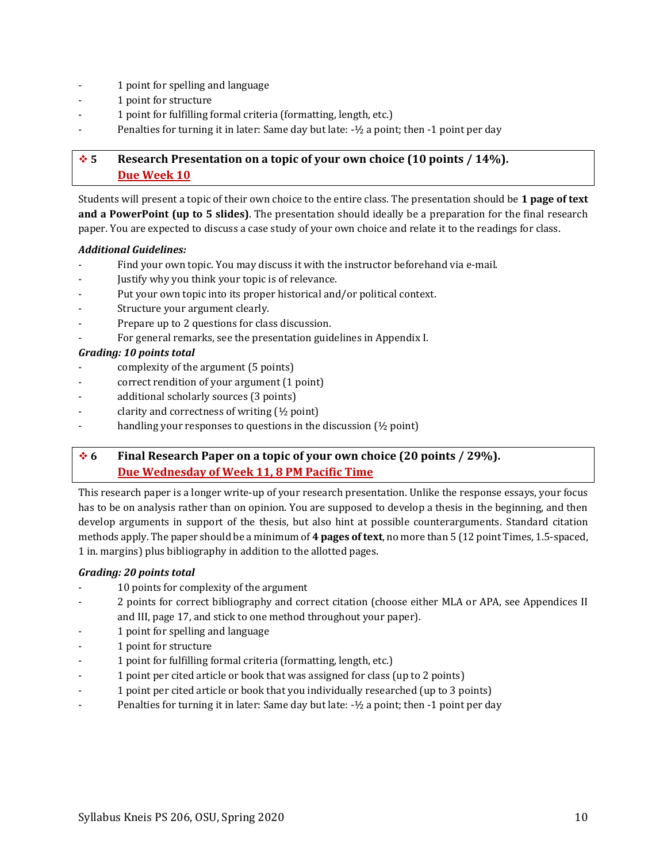- 1 point for spelling and language
- 1 point for structure
- 1 point for fulfilling formal criteria (formatting, length, etc.)
- Penalties for turning it in later: Same day but late:  $-1/2$  a point; then  $-1$  point per day

## ❖ **5 Research Presentation on a topic of your own choice (10 points / 14%). Due Week 10**

Students will present a topic of their own choice to the entire class. The presentation should be **1 page of text and a PowerPoint (up to 5 slides)**. The presentation should ideally be a preparation for the final research paper. You are expected to discuss a case study of your own choice and relate it to the readings for class.

#### *Additional Guidelines:*

- Find your own topic. You may discuss it with the instructor beforehand via e-mail.
- Justify why you think your topic is of relevance.
- Put your own topic into its proper historical and/or political context.
- Structure your argument clearly.
- Prepare up to 2 questions for class discussion.
- For general remarks, see the presentation guidelines in Appendix I.

### *Grading: 10 points total*

- complexity of the argument (5 points)
- correct rendition of your argument (1 point)
- additional scholarly sources (3 points)
- clarity and correctness of writing  $(\frac{1}{2}$  point)
- handling your responses to questions in the discussion  $(½$  point)

## ❖ **6 Final Research Paper on a topic of your own choice (20 points / 29%). Due Wednesday of Week 11, 8 PM Pacific Time**

This research paper is a longer write-up of your research presentation. Unlike the response essays, your focus has to be on analysis rather than on opinion. You are supposed to develop a thesis in the beginning, and then develop arguments in support of the thesis, but also hint at possible counterarguments. Standard citation methods apply. The paper should be a minimum of **4 pages of text**, no more than 5 (12 point Times, 1.5-spaced, 1 in. margins) plus bibliography in addition to the allotted pages.

## *Grading: 20 points total*

- 10 points for complexity of the argument
- 2 points for correct bibliography and correct citation (choose either MLA or APA, see Appendices II and III, pag[e 17,](#page-15-0) and stick to one method throughout your paper).
- 1 point for spelling and language
- 1 point for structure
- 1 point for fulfilling formal criteria (formatting, length, etc.)
- 1 point per cited article or book that was assigned for class (up to 2 points)
- 1 point per cited article or book that you individually researched (up to 3 points)
- Penalties for turning it in later: Same day but late:  $-1/2$  a point; then  $-1$  point per day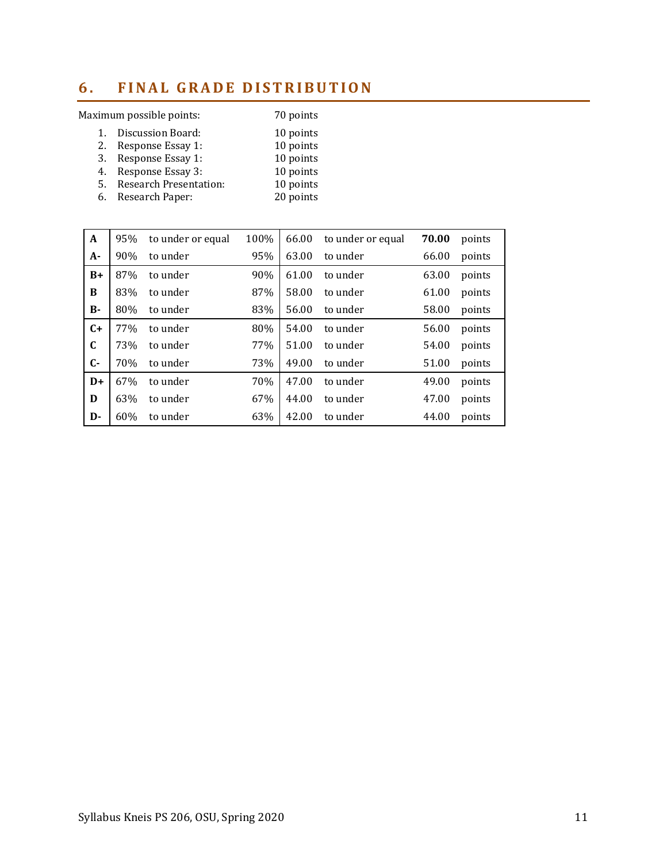# <span id="page-10-0"></span>**6. FINAL GRADE DISTRIBUTION**

## Maximum possible points: 70 points

| 1. | Discussion Board:             | 10 points |
|----|-------------------------------|-----------|
| 2. | Response Essay 1:             | 10 points |
|    | 3. Response Essay 1:          | 10 points |
|    | 4. Response Essay 3:          | 10 points |
| 5. | <b>Research Presentation:</b> | 10 points |
| 6. | Research Paper:               | 20 points |

| A            | 95% | to under or equal | 100% | 66.00 | to under or equal | 70.00 | points |
|--------------|-----|-------------------|------|-------|-------------------|-------|--------|
| $A-$         | 90% | to under          | 95%  | 63.00 | to under          | 66.00 | points |
| $B+$         | 87% | to under          | 90%  | 61.00 | to under          | 63.00 | points |
| B            | 83% | to under          | 87%  | 58.00 | to under          | 61.00 | points |
| <b>B-</b>    | 80% | to under          | 83%  | 56.00 | to under          | 58.00 | points |
| $C+$         | 77% | to under          | 80%  | 54.00 | to under          | 56.00 | points |
| $\mathbf C$  | 73% | to under          | 77%  | 51.00 | to under          | 54.00 | points |
| $\mathbf{C}$ | 70% | to under          | 73%  | 49.00 | to under          | 51.00 | points |
| $D+$         | 67% | to under          | 70%  | 47.00 | to under          | 49.00 | points |
| D            | 63% | to under          | 67%  | 44.00 | to under          | 47.00 | points |
| D-           | 60% | to under          | 63%  | 42.00 | to under          | 44.00 | points |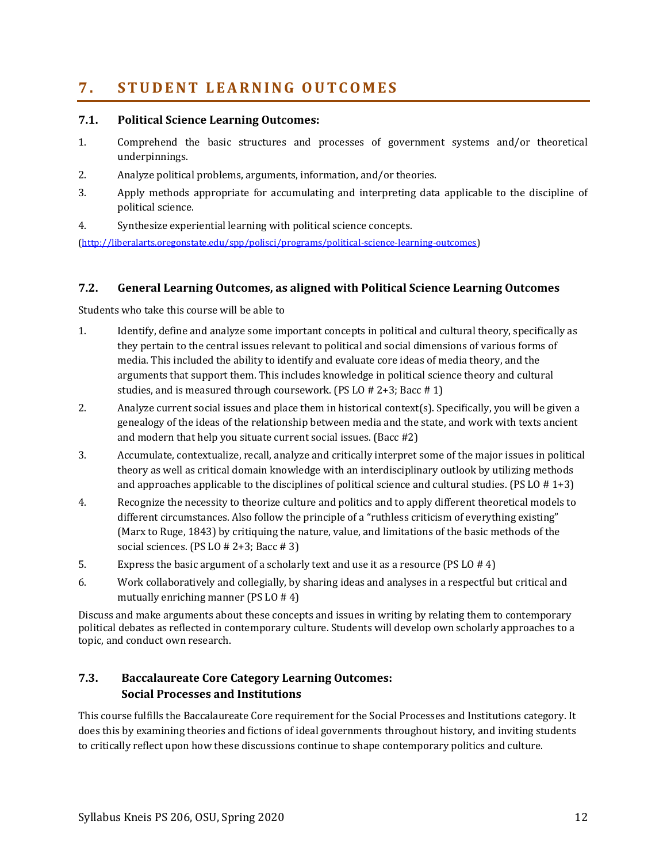# <span id="page-11-0"></span>**7 . S T U D E N T L E A R N I N G O U T C O M E S**

### **7.1. Political Science Learning Outcomes:**

- 1. Comprehend the basic structures and processes of government systems and/or theoretical underpinnings.
- 2. Analyze political problems, arguments, information, and/or theories.
- 3. Apply methods appropriate for accumulating and interpreting data applicable to the discipline of political science.
- 4. Synthesize experiential learning with political science concepts.

[\(http://liberalarts.oregonstate.edu/spp/polisci/programs/political-science-learning-outcomes\)](http://liberalarts.oregonstate.edu/spp/polisci/programs/political-science-learning-outcomes)

### **7.2. General Learning Outcomes, as aligned with Political Science Learning Outcomes**

Students who take this course will be able to

- 1. Identify, define and analyze some important concepts in political and cultural theory, specifically as they pertain to the central issues relevant to political and social dimensions of various forms of media. This included the ability to identify and evaluate core ideas of media theory, and the arguments that support them. This includes knowledge in political science theory and cultural studies, and is measured through coursework. (PS LO # 2+3; Bacc # 1)
- 2. Analyze current social issues and place them in historical context(s). Specifically, you will be given a genealogy of the ideas of the relationship between media and the state, and work with texts ancient and modern that help you situate current social issues. (Bacc #2)
- 3. Accumulate, contextualize, recall, analyze and critically interpret some of the major issues in political theory as well as critical domain knowledge with an interdisciplinary outlook by utilizing methods and approaches applicable to the disciplines of political science and cultural studies. (PS LO  $# 1+3$ )
- 4. Recognize the necessity to theorize culture and politics and to apply different theoretical models to different circumstances. Also follow the principle of a "ruthless criticism of everything existing" (Marx to Ruge, 1843) by critiquing the nature, value, and limitations of the basic methods of the social sciences. (PS LO  $# 2+3$ ; Bacc  $# 3$ )
- 5. Express the basic argument of a scholarly text and use it as a resource (PS LO # 4)
- 6. Work collaboratively and collegially, by sharing ideas and analyses in a respectful but critical and mutually enriching manner (PS LO # 4)

Discuss and make arguments about these concepts and issues in writing by relating them to contemporary political debates as reflected in contemporary culture. Students will develop own scholarly approaches to a topic, and conduct own research.

## **7.3. [Baccalaureate Core Category Learning Outcomes:](http://main.oregonstate.edu/baccalaureate-core/faculty-and-advisors/roles-and-responsibilities-faculty) Social Processes and Institutions**

This course fulfills the Baccalaureate Core requirement for the Social Processes and Institutions category. It does this by examining theories and fictions of ideal governments throughout history, and inviting students to critically reflect upon how these discussions continue to shape contemporary politics and culture.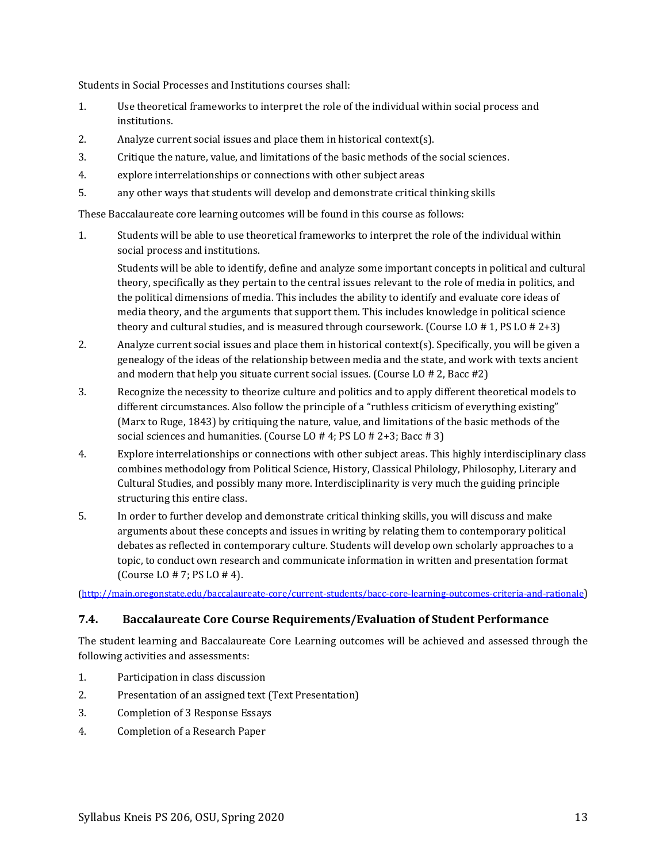Students in Social Processes and Institutions courses shall:

- 1. Use theoretical frameworks to interpret the role of the individual within social process and institutions.
- 2. Analyze current social issues and place them in historical context(s).
- 3. Critique the nature, value, and limitations of the basic methods of the social sciences.
- 4. explore interrelationships or connections with other subject areas
- 5. any other ways that students will develop and demonstrate critical thinking skills

These Baccalaureate core learning outcomes will be found in this course as follows:

1. Students will be able to use theoretical frameworks to interpret the role of the individual within social process and institutions.

Students will be able to identify, define and analyze some important concepts in political and cultural theory, specifically as they pertain to the central issues relevant to the role of media in politics, and the political dimensions of media. This includes the ability to identify and evaluate core ideas of media theory, and the arguments that support them. This includes knowledge in political science theory and cultural studies, and is measured through coursework. (Course LO  $# 1$ , PS LO  $# 2+3$ )

- 2. Analyze current social issues and place them in historical context(s). Specifically, you will be given a genealogy of the ideas of the relationship between media and the state, and work with texts ancient and modern that help you situate current social issues. (Course LO # 2, Bacc #2)
- 3. Recognize the necessity to theorize culture and politics and to apply different theoretical models to different circumstances. Also follow the principle of a "ruthless criticism of everything existing" (Marx to Ruge, 1843) by critiquing the nature, value, and limitations of the basic methods of the social sciences and humanities. (Course LO # 4; PS LO # 2+3; Bacc # 3)
- 4. Explore interrelationships or connections with other subject areas. This highly interdisciplinary class combines methodology from Political Science, History, Classical Philology, Philosophy, Literary and Cultural Studies, and possibly many more. Interdisciplinarity is very much the guiding principle structuring this entire class.
- 5. In order to further develop and demonstrate critical thinking skills, you will discuss and make arguments about these concepts and issues in writing by relating them to contemporary political debates as reflected in contemporary culture. Students will develop own scholarly approaches to a topic, to conduct own research and communicate information in written and presentation format (Course LO # 7; PS LO # 4).

[\(http://main.oregonstate.edu/baccalaureate-core/current-students/bacc-core-learning-outcomes-criteria-and-rationale](http://main.oregonstate.edu/baccalaureate-core/current-students/bacc-core-learning-outcomes-criteria-and-rationale))

#### **7.4. Baccalaureate Core Course Requirements/Evaluation of Student Performance**

The student learning and Baccalaureate Core Learning outcomes will be achieved and assessed through the following activities and assessments:

- 1. Participation in class discussion
- 2. Presentation of an assigned text (Text Presentation)
- 3. Completion of 3 Response Essays
- 4. Completion of a Research Paper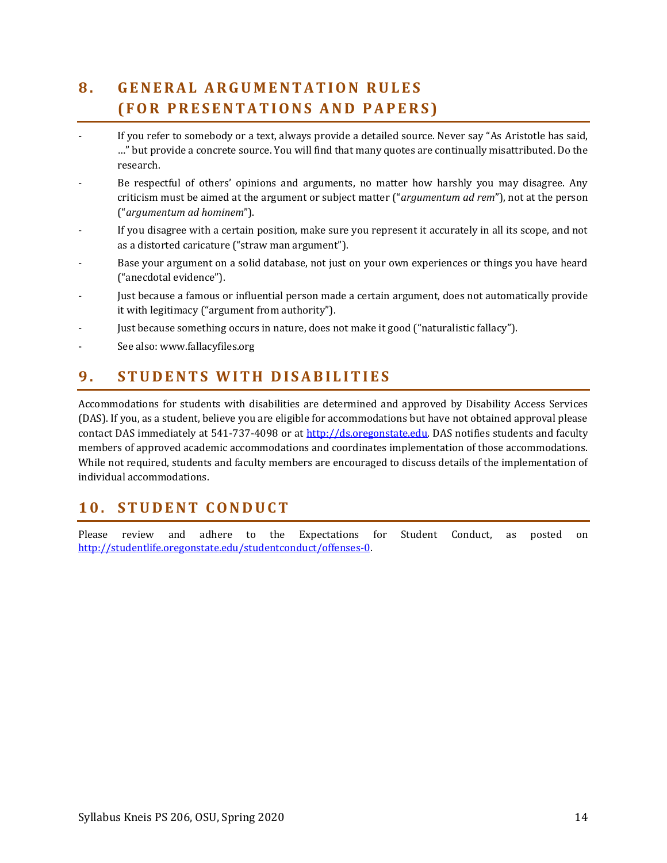# <span id="page-13-0"></span>**8 . G E N E R A L A R G U M EN T A T I O N R U L E S ( F O R P R E S E N T A T I O N S A N D P A P E R S )**

- If you refer to somebody or a text, always provide a detailed source. Never say "As Aristotle has said, …" but provide a concrete source. You will find that many quotes are continually misattributed. Do the research.
- Be respectful of others' opinions and arguments, no matter how harshly you may disagree. Any criticism must be aimed at the argument or subject matter ("*argumentum ad rem*"), not at the person ("*argumentum ad hominem*").
- If you disagree with a certain position, make sure you represent it accurately in all its scope, and not as a distorted caricature ("straw man argument").
- Base your argument on a solid database, not just on your own experiences or things you have heard ("anecdotal evidence").
- Just because a famous or influential person made a certain argument, does not automatically provide it with legitimacy ("argument from authority").
- Just because something occurs in nature, does not make it good ("naturalistic fallacy").
- See also: www.fallacyfiles.org

# <span id="page-13-1"></span>**9 . S T U D E N T S W I T H D I S A B I L I T I E S**

Accommodations for students with disabilities are determined and approved by Disability Access Services (DAS). If you, as a student, believe you are eligible for accommodations but have not obtained approval please contact DAS immediately at 541-737-4098 or at [http://ds.oregonstate.edu.](http://ds.oregonstate.edu/) DAS notifies students and faculty members of approved academic accommodations and coordinates implementation of those accommodations. While not required, students and faculty members are encouraged to discuss details of the implementation of individual accommodations.

## <span id="page-13-2"></span>**1 0 . S T U D E N T C O N D UCT**

Please review and adhere to the [Expectations for Student Conduct,](http://oregonstate.edu/studentconduct/http:/%252Foregonstate.edu/studentconduct/code/index.php) as posted on [http://studentlife.oregonstate.edu/studentconduct/offenses-0.](http://studentlife.oregonstate.edu/studentconduct/offenses-0)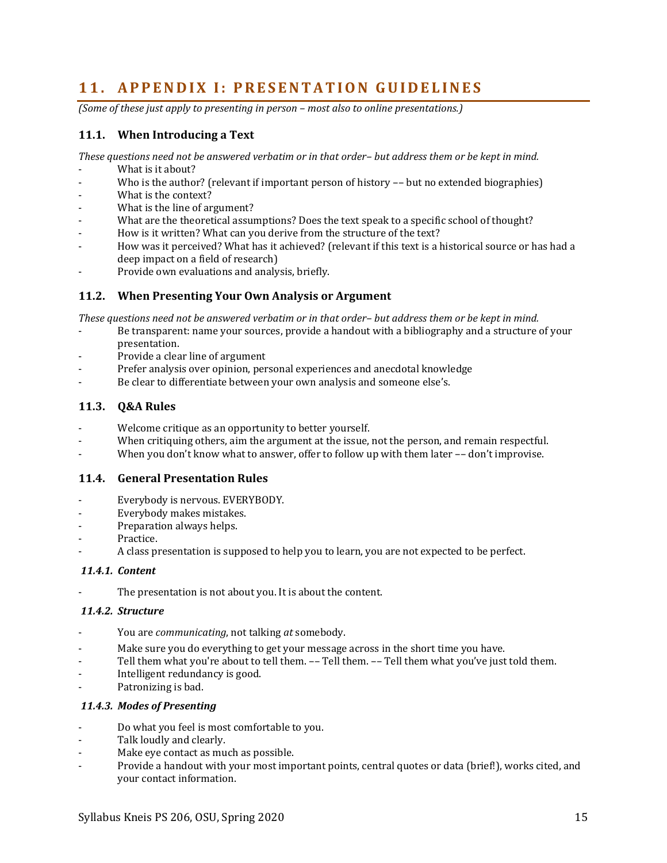## <span id="page-14-0"></span>11. **APPENDIX I: PRESENTATION GUIDELINES**

*(Some of these just apply to presenting in person – most also to online presentations.)* 

## **11.1. When Introducing a Text**

*These questions need not be answered verbatim or in that order– but address them or be kept in mind.*

- What is it about?
- Who is the author? (relevant if important person of history -- but no extended biographies)
- What is the context?
- What is the line of argument?
- What are the theoretical assumptions? Does the text speak to a specific school of thought?
- How is it written? What can you derive from the structure of the text?
- How was it perceived? What has it achieved? (relevant if this text is a historical source or has had a deep impact on a field of research)
- Provide own evaluations and analysis, briefly.

### **11.2. When Presenting Your Own Analysis or Argument**

*These questions need not be answered verbatim or in that order– but address them or be kept in mind.*

- Be transparent: name your sources, provide a handout with a bibliography and a structure of your presentation.
- Provide a clear line of argument
- Prefer analysis over opinion, personal experiences and anecdotal knowledge
- Be clear to differentiate between your own analysis and someone else's.

### **11.3. Q&A Rules**

- Welcome critique as an opportunity to better yourself.
- When critiquing others, aim the argument at the issue, not the person, and remain respectful.
- When you don't know what to answer, offer to follow up with them later -- don't improvise.

#### **11.4. General Presentation Rules**

- Everybody is nervous. EVERYBODY.
- Everybody makes mistakes.
- Preparation always helps.
- Practice.
- A class presentation is supposed to help you to learn, you are not expected to be perfect.

#### *11.4.1. Content*

The presentation is not about you. It is about the content.

#### *11.4.2. Structure*

- You are *communicating*, not talking *at* somebody.
- Make sure you do everything to get your message across in the short time you have.
- Tell them what you're about to tell them. -- Tell them. -- Tell them what you've just told them.
- Intelligent redundancy is good.
- Patronizing is bad.

#### *11.4.3. Modes of Presenting*

- Do what you feel is most comfortable to you.
- Talk loudly and clearly.
- Make eye contact as much as possible.
- Provide a handout with your most important points, central quotes or data (brief!), works cited, and your contact information.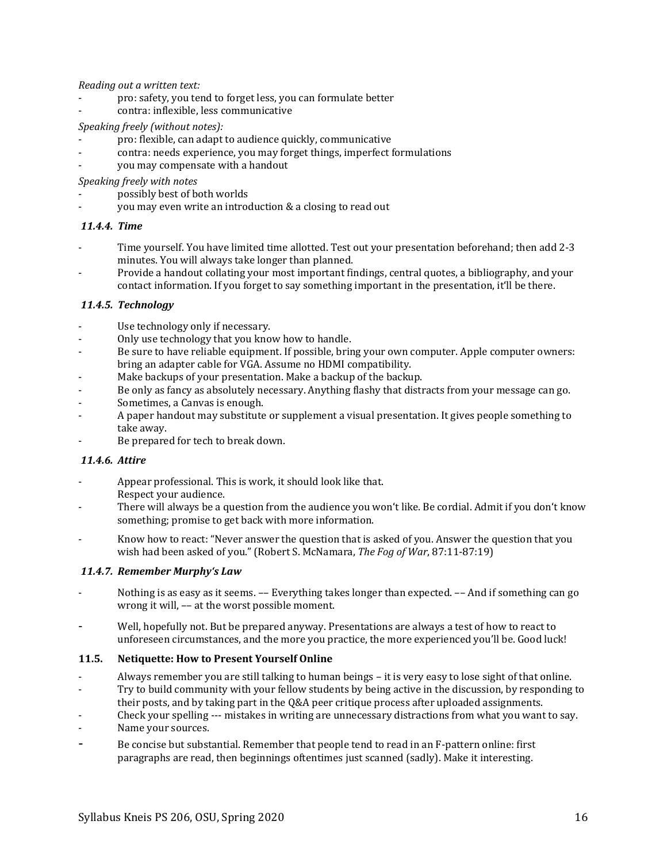*Reading out a written text:*

- pro: safety, you tend to forget less, you can formulate better
- contra: inflexible, less communicative

#### *Speaking freely (without notes):*

- pro: flexible, can adapt to audience quickly, communicative
- contra: needs experience, you may forget things, imperfect formulations
- you may compensate with a handout

*Speaking freely with notes*

- possibly best of both worlds
- you may even write an introduction & a closing to read out

#### *11.4.4. Time*

- Time yourself. You have limited time allotted. Test out your presentation beforehand; then add 2-3 minutes. You will always take longer than planned.
- Provide a handout collating your most important findings, central quotes, a bibliography, and your contact information. If you forget to say something important in the presentation, it'll be there.

#### *11.4.5. Technology*

- Use technology only if necessary.
- Only use technology that you know how to handle.
- Be sure to have reliable equipment. If possible, bring your own computer. Apple computer owners: bring an adapter cable for VGA. Assume no HDMI compatibility.
- Make backups of your presentation. Make a backup of the backup.
- Be only as fancy as absolutely necessary. Anything flashy that distracts from your message can go.
- Sometimes, a Canvas is enough.
- A paper handout may substitute or supplement a visual presentation. It gives people something to take away.
- Be prepared for tech to break down.

#### *11.4.6. Attire*

- Appear professional. This is work, it should look like that. Respect your audience.
- There will always be a question from the audience you won't like. Be cordial. Admit if you don't know something; promise to get back with more information.
- Know how to react: "Never answer the question that is asked of you. Answer the question that you wish had been asked of you." (Robert S. McNamara, *The Fog of War*, 87:11-87:19)

#### *11.4.7. Remember Murphy's Law*

- Nothing is as easy as it seems. -- Everything takes longer than expected. -- And if something can go wrong it will, –– at the worst possible moment.
- Well, hopefully not. But be prepared anyway. Presentations are always a test of how to react to unforeseen circumstances, and the more you practice, the more experienced you'll be. Good luck!

#### **11.5. Netiquette: How to Present Yourself Online**

- Always remember you are still talking to human beings it is very easy to lose sight of that online.
- Try to build community with your fellow students by being active in the discussion, by responding to
- their posts, and by taking part in the Q&A peer critique process after uploaded assignments.
- Check your spelling --- mistakes in writing are unnecessary distractions from what you want to say.
- Name your sources.
- <span id="page-15-0"></span>Be concise but substantial. Remember that people tend to read in an F-pattern online: first paragraphs are read, then beginnings oftentimes just scanned (sadly). Make it interesting.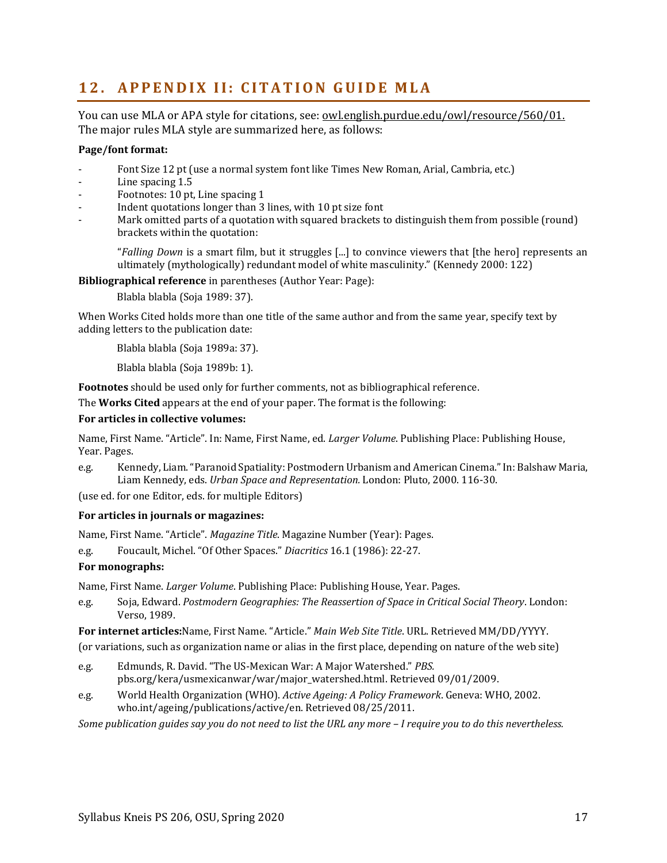# <span id="page-16-0"></span>**12. APPENDIX II: CITATION GUIDE MLA**

You can use MLA or APA style for citations, see: [owl.english.purdue.edu/owl/resource/560/01.](http://owl.english.purdue.edu/owl/resource/560/01) The major rules MLA style are summarized here, as follows:

#### **Page/font format:**

- Font Size 12 pt (use a normal system font like Times New Roman, Arial, Cambria, etc.)
- Line spacing 1.5
- Footnotes: 10 pt, Line spacing 1
- Indent quotations longer than 3 lines, with 10 pt size font
- Mark omitted parts of a quotation with squared brackets to distinguish them from possible (round) brackets within the quotation:

"*Falling Down* is a smart film, but it struggles [...] to convince viewers that [the hero] represents an ultimately (mythologically) redundant model of white masculinity." (Kennedy 2000: 122)

**Bibliographical reference** in parentheses (Author Year: Page):

Blabla blabla (Soja 1989: 37).

When Works Cited holds more than one title of the same author and from the same year, specify text by adding letters to the publication date:

Blabla blabla (Soja 1989a: 37).

Blabla blabla (Soja 1989b: 1).

**Footnotes** should be used only for further comments, not as bibliographical reference.

The **Works Cited** appears at the end of your paper. The format is the following:

#### **For articles in collective volumes:**

Name, First Name. "Article". In: Name, First Name, ed. *Larger Volume*. Publishing Place: Publishing House, Year. Pages.

e.g. Kennedy, Liam. "Paranoid Spatiality: Postmodern Urbanism and American Cinema." In: Balshaw Maria, Liam Kennedy, eds. *Urban Space and Representation.* London: Pluto, 2000. 116-30.

(use ed. for one Editor, eds. for multiple Editors)

#### **For articles in journals or magazines:**

Name, First Name. "Article". *Magazine Title*. Magazine Number (Year): Pages.

e.g. Foucault, Michel. "Of Other Spaces." *Diacritics* 16.1 (1986): 22-27.

#### **For monographs:**

Name, First Name. *Larger Volume*. Publishing Place: Publishing House, Year. Pages.

e.g. Soja, Edward. *Postmodern Geographies: The Reassertion of Space in Critical Social Theory*. London: Verso, 1989.

**For internet articles:**Name, First Name. "Article." *Main Web Site Title*. URL. Retrieved MM/DD/YYYY.

(or variations, such as organization name or alias in the first place, depending on nature of the web site)

- e.g. Edmunds, R. David. "The US-Mexican War: A Major Watershed." *PBS.*  pbs.org/kera/usmexicanwar/war/major\_watershed.html. Retrieved 09/01/2009.
- e.g. World Health Organization (WHO). *Active Ageing: A Policy Framework*. Geneva: WHO, 2002. who.int/ageing/publications/active/en. Retrieved 08/25/2011.

*Some publication guides say you do not need to list the URL any more – I require you to do this nevertheless.*